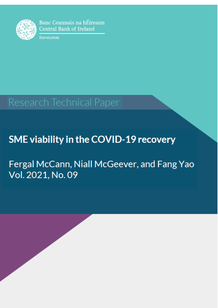

Banc Ceannais na hÉireann **Central Bank of Ireland** 

Eurosystem

# Research Technical Paper

## **SME viability in the COVID-19 recovery**

Fergal McCann, Niall McGeever, and Fang Yao Vol. 2021, No. 09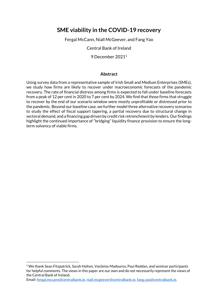## **SME viability in the COVID-19 recovery**

Fergal McCann, Niall McGeever, and Fang Yao

Central Bank of Ireland

9 December 2021 1

#### **Abstract**

Using survey data from a representative sample of Irish Small and Medium Enterprises (SMEs), we study how firms are likely to recover under macroeconomic forecasts of the pandemic recovery. The rate of financial distress among firms is expected to fall under baseline forecasts from a peak of 12 per cent in 2020 to 7 per cent by 2024. We find that those firms that struggle to recover by the end of our scenario window were mostly unprofitable or distressed prior to the pandemic. Beyond our baseline case, we further model three alternative recovery scenarios to study the effect of fiscal support tapering, a partial recovery due to structural change in sectoral demand, and a financing gap driven by credit risk retrenchment by lenders. Our findings highlight the continued importance of "bridging" liquidity finance provision to ensure the longterm solvency of viable firms.

Email[: fergal.mccann@centralbank.ie,](mailto:fergal.mccann@centralbank.ie) [niall.mcgeever@centralbank.ie,](mailto:niall.mcgeever@centralbank.ie) [fang.yao@centralbank.ie.](mailto:fang.yao@centralbank.ie)

**.** 

<sup>1</sup> We thank Sean Fitzpatrick, Sarah Holton, Vasileios Madouros, Paul Reddan, and seminar participants for helpful comments. The views in this paper are our own and do not necessarily represent the views of the Central Bank of Ireland.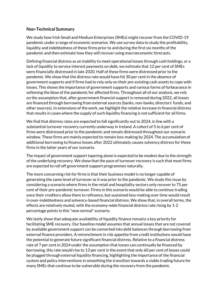## **Non-Technical Summary**

We study how Irish Small and Medium Enterprises (SMEs) might recover from the COVID-19 pandemic under a range of economic scenarios. We use survey data to study the profitability, liquidity and indebtedness of these firms prior to and during the first six months of the pandemic and then estimate how they will recover using macroeconomic forecasts.

Defining financial distress as an inability to meet operational losses through cash holdings, or a lack of liquidity to service interest payments on debt, we estimate that 12 per cent of SMEs were financially distressed in late 2020. Half of these firms were distressed prior to the pandemic. We show that the distress rate would have hit 30 per cent in the absence of government supports and if firms had to rely only on their pre-existing cash assets to cope with losses. This shows the importance of government supports and various forms of forbearance in softening the blow of the pandemic for affected firms. Throughout all of our analysis, we rely on the assumption that, after government financial support is removed during 2022, all losses are financed through borrowing from external sources (banks, non-banks, directors' funds, and other sources). In extensions of the work, we highlight the relative increase in financial distress that results in cases where the supply of such liquidity financing is not sufficient for all firms.

We find that distress rates are expected to fall significantly out to 2024, in line with a substantial turnover recovery currently underway in Ireland. A cohort of 5 to 6 per cent of firms were distressed prior to the pandemic and remain distressed throughout our scenario window. These firms are mainly expected to remain loss-making by 2024. The accumulation of additional borrowing to finance losses after 2022 ultimately causes solvency distress for these firms in the latter years of our scenario.

The impact of government support tapering alone is expected to be modest due to the strength of the underlying recovery. We show that the pace of turnover recovery is such that most firms are expected to roll off government support programmes naturally.

The more concerning risk for firms is that their business model is no longer capable of generating the same level of turnover as it was prior to the pandemic. We study this issue by considering a scenario where firms in the retail and hospitality sectors only recover to 75 per cent of their pre-pandemic turnover. Firms in this scenario would be able to continue trading once their creditors allow them to refinance, but sustained loss-making over time would result in over-indebtedness and solvency-based financial distress. We show that, in overall terms, the effects are relatively muted, with the economy-wide financial distress rate rising by 1-2 percentage points in this "new normal" scenario.

We lastly show that adequate availability of liquidity finance remains a key priority for facilitating SME recovery. Our baseline model assumes that annual losses that are not covered by available government support can be converted into debt balances through borrowing from external finance providers. A retrenchment in risk appetite from credit institutions would have the potential to generate future significant financial distress. Relative to a financial distress rate of 7 per cent in 2024 under the assumption that losses can continually be financed by borrowing, this rate would rise to 13 per cent in the event that only 60 per cent of losses could be plugged through external liquidity financing, highlighting the importance of the financial system and policy interventions in smoothing the transition towards a viable trading future for many SMEs that continue to be vulnerable during the recovery from the pandemic.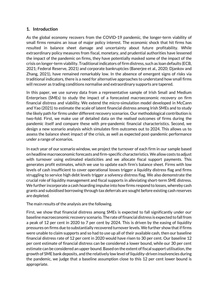## **1. Introduction**

As the global economy recovers from the COVID-19 pandemic, the longer-term viability of small firms remains an issue of major policy interest. The economic shock that hit firms has resulted in balance sheet damage and uncertainty about future profitability. While extraordinary policy measures from fiscal, monetary, and prudential authorities have lessened the impact of the pandemic on firms, they have potentially masked some of the impact of the crisis on longer-term viability. Traditional indicators of firm distress, such as loan defaults (ECB, 2021; Federal Reserve, 2021) and corporate bankruptcies (Banerjee et al., 2020; Djankov and Zhang, 2021), have remained remarkably low. In the absence of emergent signs of risks via traditional indicators, there is a need for alternative approaches to understand how small firms will recover as trading conditions normalise and extraordinary supports are tapered.

In this paper, we use survey data from a representative sample of Irish Small and Medium Enterprises (SMEs) to study the impact of a forecasted macroeconomic recovery on firm financial distress and viability. We extend the micro-simulation model developed in McCann and Yao (2021) to estimate the scale of latent financial distress among Irish SMEs and to study the likely path for firms under different recovery scenarios. Our methodological contribution is two-fold. First, we make use of detailed data on the *realised* outcomes of firms during the pandemic itself and compare these with pre-pandemic financial characteristics. Second, we design a new scenario analysis which simulates firm outcomes out to 2024. This allows us to assess the balance sheet impact of the crisis, as well as expected post-pandemic performance under a range of scenarios.

In each year of our scenario window, we project the turnover of each firm in our sample based on headline macroeconomic forecasts and firm-specific characteristics. We allow costs to adjust with turnover using estimated elasticities and we allocate fiscal support payments. This generates profit estimates, which we use to update each firm's balance sheet. Firms with low levels of cash insufficient to cover operational losses trigger a liquidity distress flag and firms struggling to service high debt levels trigger a solvency distress flag. We also demonstrate the crucial role of liquidity management and fiscal supports in alleviating short-term SME distress. We further incorporate a cash hoarding impulse into how firms respond to losses, whereby cash grants and subsidised borrowing through tax deferrals are sought before existing cash reserves are depleted.

The main results of the analysis are the following.

First, we show that financial distress among SMEs is expected to fall significantly under our baseline macroeconomic recovery scenario. The rate of financial distress is expected to fall from a peak of 12 per cent in 2020 to 7 per cent by 2024. This is driven by the easing of liquidity pressures on firms due to substantially recovered turnover levels. We further show that if firms were unable to claim supports and so had to use up all of their available cash, then our baseline financial distress rate of 12 per cent in 2020 would have risen to 30 per cent. Our baseline 12 per cent estimate of financial distress can be considered a lower bound, while our 30 per cent estimate can be considered an upper bound. Based on the extent of fiscal support utilisation, the growth of SME bank deposits, and the relatively low level of liquidity-driven insolvencies during the pandemic, we judge that a baseline assumption close to this 12 per cent lower bound is appropriate.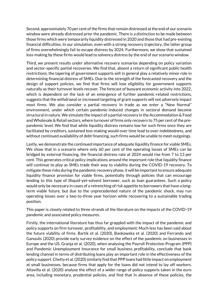Second, approximately 70 per cent of the firms that remain distressed at the end of our scenario window were already distressed prior the pandemic. There is a distinction to be made between those firms which were temporarily liquidity distressed in 2020 and those that had pre-existing financial difficulties. In our simulation, even with a strong recovery trajectory, the latter group of firms overwhelmingly fail to escape distress by 2024. Furthermore, we show that sustained loss-making by these firms would lead to solvency distress by the end of our scenario window.

Third, we present results under alternative recovery scenarios depending on policy variation and sector-specific partial recoveries. We find that, absent a return of significant public health restrictions, the tapering of government supports will in general play a relatively minor role in determining financial distress of SMEs. Due to the strength of the forecasted recovery and the design of support policies, we find that firms will lose eligibility for government supports naturally as their turnover levels recover. The forecast of buoyant economic activity into 2022, which is dependent on the lack of an emergence of further pandemic-related restrictions, suggests that the withdrawal or increased targeting of grant supports will not adversely impact most firms. We also consider a partial recovery in trade as we enter a "New Normal" environment, under which certain pandemic-induced changes in sectoral demand become structural in nature. We simulate the impact of a partial recovery in the Accommodation & Food and Wholesale & Retail sectors, where turnover of firms only recovers to 75 per cent of the prepandemic level. We find that while liquidity distress remains low for such firms once they are facilitated by creditors, sustained loss-making would over time lead to over-indebtedness, and without continued availability of debt financing, such firms would be unable to meet outgoings.

Lastly, we demonstrate the continued importance of adequate liquidity finance for viable SMEs. We show that in a scenario where only 60 per cent of the operating losses of SMEs can be bridged by external financing, the financial distress rate at 2024 would rise from 7 to 13 per cent. This generates critical policy implications around the important role that liquidity finance will continue to play as SMEs trade their way to viability during the COVID-19 recovery. To mitigate these risks during the pandemic recovery phase, it will be important to ensure adequate liquidity finance provision for viable firms, potentially through policies that can encourage lending to this type of illiquid-yet-solvent borrower, such as loan guarantees. Such a policy would only be necessary in cases of a retrenching of risk appetite to borrowers that have a longterm viable future, but due to the unprecedented nature of the pandemic shock, may run operating losses over a two-to-three year horizon while recovering to a sustainable trading position.

This paper is closely related to three strands of the literature on the impacts of the COVID-19 pandemic and associated policy measures.

Firstly, the international literature has thus far grappled with the impact of the pandemic and policy supports on firm turnover, profitability, and employment. Much less has been said about the future viability of firms. Bartik et al. (2020), Bankowska et al. (2020) and Ferrando and Ganoulis (2020) provide early survey evidence on the effect of the pandemic on businesses in Europe and the US. Granja et al. (2020), when analysing the Payroll Protection Program (PPP) and Pandemic Unemployment Insurance for small business profitability, conclude that bank lending channel in terms of distributing loans play an important role in the effectiveness of the policy support. Chetty et al. (2020) similarly find that PPP loans had little impact on employment at small businesses, because firms that apply for the loans did not intend to lay off workers. Altavilla et al. (2020) analyse the effect of a wider range of policy supports taken in the euro area, including monetary, prudential policies, and find that in absence of these policies, the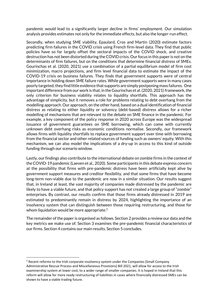pandemic would lead to a significantly larger decline in firms' employment. Our simulation analysis provides estimates not only for the immediate effects, but also the longer-run effect.

Secondly, when studying SME viability, Epaulard, Cros and Martin (2020) estimate factors predicting firm failures in the COVID crisis using French firm-level data. They find that public policies have so far largely offset the sectoral impacts of the COVID shock, and creative destruction has not been distorted during the COVID crisis. Our focus in this paper is not on the determinants of firm failures, but on the conditions that determine financial distress of SMEs. Gourinchas et al. (2020, 2021) use a combination of a partial equilibrium model of firm cost minimization, macro projections, and firm level financial data to estimate the impact of the COVID-19 crisis on business failures. They finds that government supports were of central importance in holding down SME failure rates. While government supports were in many cases poorly targeted, they find little evidence that supports are simply postponing mass failures. One important difference from our work is that, in the Gourinchas et al. (2020, 2021) framework, the only criterion for business viability relates to liquidity shortfalls. This approach has the advantage of simplicity, but it removes a role for problems relating to debt overhang from the modelling approach. Our approach, on the other hand, based on a dual identification of financial distress as relating to either liquidity or solvency (debt-based) distress allows for a richer modelling of mechanisms that are relevant to the debate on SME finance in the pandemic. For example, a key component of the policy response in 2020 across Europe was the widespread issuance of government guarantees on SME borrowing, which can come with currently unknown debt overhang risks as economic conditions normalise. Secondly, our framework allows firms with liquidity shortfalls to replace government support over time with borrowing from the financial sector and other related sources of funding such as owners' equity. With this mechanism, we can also model the implications of a dry-up in access to this kind of outside funding through our scenario window.

Lastly, our findings also contribute to the international debate on zombie firms in the context of the COVID-19 pandemic (Laeven et al., 2020). Some participants in this debate express concern at the possibility that firms with pre-pandemic distress have been artificially kept alive by government support measures and creditor flexibility, and that some firms that have become long-term non-viable due to the pandemic are now in a similar situation. Our results suggest that, in Ireland at least, the vast majority of companies made distressed by the pandemic are likely to have a viable future, and that policy support has not created a large group of "zombie" enterprises. By contrast, our results confirm that those firms already distressed in 2019 are estimated to predominantly remain in distress by 2024, highlighting the importance of an insolvency system that can distinguish between those requiring restructuring, and those for whom liquidation would be more appropriate.<sup>2</sup>

The remainder of the paper is organised as follows. Section 2 provides a review our data and the key metrics we make use of. Section 3 examines the pre-pandemic financial characteristics of our firms. Section 4 contains our main results. Section 5 concludes.

**.** 

<sup>&</sup>lt;sup>2</sup> Recent reforms to the Irish corporate insolvency system under the Companies (Small Company Administrative Rescue Process and Miscellaneous Provisions) Bill 2021, will allow for access to the Irish examinership system at lower cost, to a wider range of smaller companies. It is hoped in Ireland that this reform will allow for more ready restructuring of liabilities in cases where financially distressed SMEs can be shown to have a viable trading future.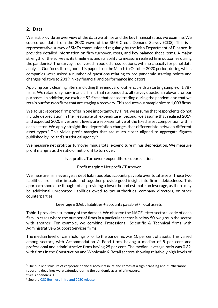## **2. Data**

We first provide an overview of the data we utilise and the key financial ratios we examine. We source our data from the 2020 wave of the SME Credit Demand Survey (CDS). This is a representative survey of SMEs commissioned regularly by the Irish Department of Finance. It provides detailed information on firm turnover, costs, and key balance sheet items. A major strength of the survey is its timeliness and its ability to measure realised firm outcomes during the pandemic.<sup>3</sup> The survey is delivered in pooled cross sections, with no capacity for panel data analysis. Our focus throughout this paper is on the March to October 2020 period, during which companies were asked a number of questions relating to pre-pandemic starting points and changes relative to 2019 in key financial and performance indicators.

Applying basic cleaning filters, including the removal of outliers, yields a starting sample of 1,787 firms. We retain only non-financial firms that responded to all survey questions relevant for our purposes. In addition, we exclude 52 firms that ceased trading during the pandemic so that we retain our focus on firms that are staging a recovery. This reduces our sample size to 1,003 firms.

We adjust reported firm profits in one important way. First, we assume that respondents do not include depreciation in their estimate of 'expenditure'. Second, we assume that realised 2019 and expected 2020 investment levels are representative of the fixed asset composition within each sector. We apply straight-line depreciation charges that differentiate between different asset types.<sup>4</sup> This yields profit margins that are much closer aligned to aggregate figures published by Ireland's statistical agency. 5

We measure net profit as turnover minus total expenditure minus depreciation. We measure profit margins as the ratio of net profit to turnover.

Net profit ≡ Turnover - expenditure - depreciation

## Profit margin ≡ Net profit / Turnover

We measure firm leverage as debt liabilities plus accounts payable over total assets. These two liabilities are similar in scale and together provide good insight into firm indebtedness. This approach should be thought of as providing a lower bound estimate on leverage, as there may be additional unreported liabilities owed to tax authorities, company directors, or other counterparties.

Leverage ≡ (Debt liabilities + accounts payable) / Total assets

Table 1 provides a summary of the dataset. We observe the NACE letter sectoral code of each firm. In cases where the number of firms in a particular sector is below 50, we group the sector with another. For example, we combine Professional, Scientific & Technical firms with Administrative & Support Services firms.

The median level of cash holdings prior to the pandemic was 10 per cent of assets. This varied among sectors, with Accommodation & Food firms having a median of 5 per cent and professional and administrative firms having 25 per cent. The median leverage ratio was 0.32, with firms in the Construction and Wholesale & Retail sectors showing relatively high levels of

1

 $3$  The public disclosure of corporate financial accounts in Ireland comes at a significant lag and, furthermore, reporting deadlines were extended during the pandemic as a relief measure.

<sup>4</sup> See Appendix A.1.

<sup>&</sup>lt;sup>5</sup> See the [CSO Business in Ireland 2020 release.](https://www.cso.ie/en/releasesandpublications/ep/p-syi/statisticalyearbookofireland2020/bus/businessinireland/)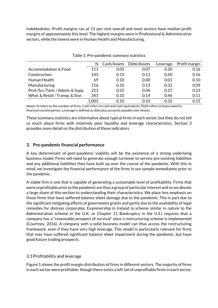indebtedness. Profit margins ran at 15 per cent overall and most sectors have median profit margins of approximately this level. The highest margins were in Professional & Administrative sectors, while the lowest were in Human Health and Manufacturing.

|                                  | N     | Cash/Assets | Debt/Assets | Leverage | Profit margin |
|----------------------------------|-------|-------------|-------------|----------|---------------|
| Accommodation & Food             | 111   | 0.05        | 0.07        | 0.20     | 0.16          |
| Construction                     | 143   | 0.15        | 0.13        | 0.50     | 0.16          |
| Human Health                     | 69    | 0.10        | 0.00        | 0.01     | 0.10          |
| Manufacturing                    | 116   | 0.10        | 0.13        | 0.32     | 0.09          |
| Prof./Sci./Tech./Admin. & Supp.  | 223   | 0.25        | 0.06        | 0.27     | 0.23          |
| Whol. & Retail / Transp. & Stor. | 341   | 0.10        | 0.14        | 0.46     | 0.11          |
|                                  | 1,003 | 0.10        | 0.10        | 0.32     | 0.15          |

Table 1: Pre-pandemic summary statistics

Notes: N refers to the number of firms. Cash refers to cash and cash equivalents. Debt refers to loans owed to financial counterparties. Leverage is defined as debt plus accounts payable over Assets.

These summary statistics are informative about typical firms in each sector, but they do not tell us much about firms with relatively poor liquidity and leverage characteristics. Section 3 provides more detail on the distribution of these indicators.

## **3. Pre-pandemic financial performance**

A key determinant of post-pandemic viability will be the existence of a strong underlying business model. Firms will need to generate enough turnover to service pre-existing liabilities and any additional liabilities they have built up over the course of the pandemic. With this in mind, we investigate the financial performance of the firms in our sample immediately prior to the pandemic.

A viable firm is one that is capable of generating a sustainable level of profitability. Firms that were unprofitable prior to the pandemic are thus a group of particular interest and so we devote a large share of this section to understanding their characteristics. We place less emphasis on those firms that have suffered balance sheet damage due to the pandemic. This is part due to the significant mitigating effects of government grants and partly due to the availability of legal remedies for distress corporates. Examinership in Ireland (a scheme similar in nature to the Administration scheme in the U.K. or Chapter 11 Bankruptcy in the U.S.) requires that a company has a "reasonable prospect of survival" once a restructuring scheme is implemented (Courtney, 2016). A company with a solid business model can thus access the restructuring framework, even if they have very high leverage. This model is particularly relevant for firms that may have suffered significant balance sheet impairment during the pandemic, but have good future trading prospects.

## 3.1Profitability and leverage

Figure 1 shows the profit margin distribution of firms in different sectors. The majority of firms in each sector were profitable, though there exists a left tail of unprofitable firms in each sector.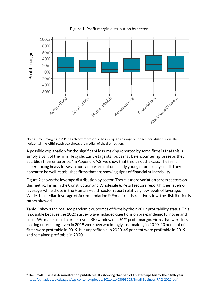

Figure 1: Profit margin distribution by sector

Notes: Profit margins in 2019. Each box represents the interquartile range of the sectoral distribution. The horizontal line within each box shows the median of the distribution.

A possible explanation for the significant loss-making reported by some firms is that this is simply a part of the firm life cycle. Early-stage start-ups may be encountering losses as they establish their enterprise.<sup>6</sup> In Appendix A.2, we show that this is not the case. The firms experiencing heavy losses in our sample are not unusually young or unusually small. They appear to be well-established firms that are showing signs of financial vulnerability.

Figure 2 shows the leverage distribution by sector. There is more variation across sectors on this metric. Firms in the Construction and Wholesale & Retail sectors report higher levels of leverage, while those in the Human Health sector report relatively low levels of leverage. While the median leverage of Accommodation & Food firms is relatively low, the distribution is rather skewed.

Table 2 shows the realised pandemic outcomes of firms by their 2019 profitability status. This is possible because the 2020 survey wave included questions on pre-pandemic turnover and costs. We make use of a break-even (BE) window of a  $\pm 1\%$  profit margin. Firms that were lossmaking or breaking-even in 2019 were overwhelmingly loss-making in 2020. 20 per cent of firms were profitable in 2019, but unprofitable in 2020. 49 per cent were profitable in 2019 and remained profitable in 2020.

 $\overline{a}$ 

 $6$  The Small Business Administration publish results showing that half of US start-ups fail by their fifth year. <https://cdn.advocacy.sba.gov/wp-content/uploads/2021/11/03093005/Small-Business-FAQ-2021.pdf>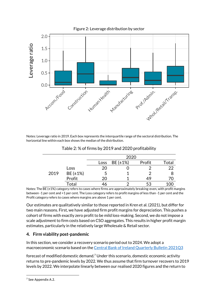

Notes: Leverage ratio in 2019. Each box represents the interquartile range of the sectoral distribution. The horizontal line within each box shows the median of the distribution.

|      |             |      | 2020     |        |           |
|------|-------------|------|----------|--------|-----------|
|      |             | Loss | BE (±1%) | Profit | Total     |
|      | <b>Loss</b> | 20   |          |        | 22        |
| 2019 | BE (±1%)    |      |          |        | 8         |
|      | Profit      | 20   |          | 49     | 70        |
|      | Total       |      |          | 53     | 1 ( ) ( ) |

Table 2: % of firms by 2019 and 2020 profitability

Notes: The BE (±1%) category refers to cases where firms are approximately breaking-even, with profit margins between -1 per cent and +1 per cent. The Loss category refers to profit margins of less than -1 per cent and the Profit category refers to cases where margins are above 1 per cent.

Our estimates are qualitatively similar to those reported in Kren et al. (2021), but differ for two main reasons. First, we have adjusted firm profit margins for depreciation. This pushes a cohort of firms with exactly zero profit to be mild loss-making. Second, we do not impose a scale adjustment to firm costs based on CSO aggregates. This results in higher profit margin estimates, particularly in the relatively large Wholesale & Retail sector.

## **4. Firm viability post-pandemic**

In this section, we consider a recovery scenario period out to 2024. We adopt a macroeconomic scenario based on th[e Central Bank of Ireland Quarterly Bulletin 2021Q3](https://www.centralbank.ie/publication/quarterly-bulletins/quarterly-bulletin-q3-2021)

forecast of modified domestic demand.<sup>7</sup> Under this scenario, domestic economic activity returns to pre-pandemic levels by 2022. We thus assume that firm turnover recovers to 2019 levels by 2022. We interpolate linearly between our realised 2020 figures and the return to

**.** 

<sup>&</sup>lt;sup>7</sup> See Appendix A.2.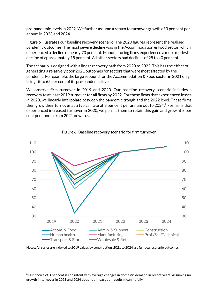pre-pandemic levels in 2022. We further assume a return to turnover growth of 3 per cent per annum in 2023 and 2024.

Figure 6 illustrates our baseline recovery scenario. The 2020 figures represent the realised pandemic outcomes. The most severe decline was in the Accommodation & Food sector, which experienced a decline of nearly 70 per cent. Manufacturing firms experienced a more modest decline of approximately 15 per cent. All other sectors had declines of 25 to 40 per cent.

The scenario is designed with a linear recovery path from 2020 to 2022. This has the effect of generating a relatively poor 2021 outcomes for sectors that were most affected by the pandemic. For example, the large rebound for the Accommodation & Food sector in 2021 only brings it to 65 per cent of its pre-pandemic level.

We observe firm turnover in 2019 and 2020. Our baseline recovery scenario includes a recovery to at least 2019 turnover for all firms by 2022. For those firms that experienced losses in 2020, we linearly interpolate between the pandemic trough and the 2022 level. These firms then grow their turnover at a typical rate of 3 per cent per annum out to  $2024$ .<sup>8</sup> For firms that experienced increased turnover in 2020, we permit them to retain this gain and grow at 3 per cent per annum from 2021 onwards.



#### Figure 6: Baseline recovery scenario for firm turnover

Notes: All series are indexed to 2019 values by construction. 2021 to 2024 are full-year scenario outcomes.

 $\overline{a}$ 

<sup>8</sup> Our choice of 3 per cent is consistent with average changes in domestic demand in recent years. Assuming no growth in turnover in 2023 and 2024 does not impact our results meaningfully.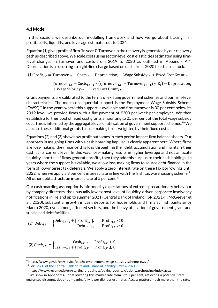#### **4.1Model**

In this section, we describe our modelling framework and how we go about tracing firm profitability, liquidity, and leverage estimates out to 2024.

Equation (1) gives profit of firm *i* in year *T*. Turnover in the recovery is generated by our recovery path as described above. We scale costs using sector-level cost elasticities estimated using firmlevel changes in turnover and costs from 2019 to 2020 as outlined in Appendix A.4. Depreciation is a recurring straight-line charge based on each firm's 2020 fixed asset stock.

- (1) Profit<sub>i. $T$ </sub> = Turnover<sub>i. $T$ </sub> Costs<sub>i. $T$ </sub> Depreciation<sub>i</sub> + Wage Subsidy<sub>i. $T$ </sub> + Fixed Cost Grant<sub>i.</sub> $T$ 
	- = Turnover<sub>i,T</sub> Costs<sub>i,T-1</sub> \* ((Turnover<sub>i,T</sub> Turnover<sub>i,T-1</sub>) \*  $\epsilon_i$ ) Depreciation<sub>i</sub> + Wage Subsidy<sub>i.T</sub> + Fixed Cost Grant<sub>i.T</sub>

Grant payments are calibrated to the terms of existing government schemes and our firm-level characteristics. The most consequential support is the Employment Wage Subsidy Scheme (EWSS). 9 In the years where this support is available and firm turnover is 30 per cent below its 2019 level, we provide firms with a flat payment of  $\epsilon$ 203 per week per employee. We then establish a further pool of fixed cost grants amounting to 25 per cent of the total wage subsidy cost. This is informed by the aggregate level of utilisation of government support schemes.<sup>10</sup> We allocate these additional grants to loss-making firms weighted by their fixed costs.

Equations (2) and (3) show how profit outcomes in each period impact firm balance sheets. Our approach in assigning firms with a cash hoarding impulse is clearly apparent here. Where firms are loss-making, they finance this loss through further debt accumulation and maintain their cash at its current level. In this way, loss-making results in higher leverage and not an acute liquidity shortfall. If firms generate profits, then they add this surplus to their cash holdings. In years where the support is available, we allow loss-making firms to source debt finance in the form of low-interest tax deferrals. We apply a zero interest rate on these tax borrowings until 2022, when we apply a 3 per cent interest rate in line with the Irish tax warehousing scheme.<sup>11</sup> All other debt attracts an interest rate of 5 per cent.<sup>12</sup>

Our cash hoarding assumption is informed by expectations of extreme precautionary behaviour by company directors, the unusually low ex post level of liquidity-driven corporate insolvency notifications in Ireland up to summer 2021 (Central Bank of Ireland FSR 2021-II; McGeever et al., 2020), substantial growth in cash deposits for households and firms at Irish banks since March 2020, even among affected sectors, and the heavy utilisation of government grant and subsidised debt facilities.

(2) 
$$
\text{Debt}_{i,T} = \begin{cases} \text{Debt}_{i,T-1} + |\text{Profit}_{i,T}|, & \text{Profit}_{i,T} < 0 \\ \text{Debt}_{i,T-1}, & \text{Profit}_{i,T} \ge 0 \end{cases}
$$

$$
(3) Cash_{i,T} = \begin{cases} Cash_{i,T-1}, & \text{Profit}_{i,T} < 0\\ Cash_{i,T-1} + Profit_{i,T}, & \text{Profit}_{i,T} \ge 0 \end{cases}
$$

**.** 

<sup>9</sup> https://www.gov.ie/en/service/ead8c-employment-wage-subsidy-scheme-ewss/

<sup>&</sup>lt;sup>10</sup> Se[e Box G of the Central Bank of Ireland Financial Stability Review 2021-I.](https://www.centralbank.ie/docs/default-source/publications/financial-stability-review/financial-stability/financial-stability-review-2021-i.pdf?sfvrsn=8)

<sup>11</sup> https://www.revenue.ie/en/starting-a-business/paying-your-tax/debt-warehousing/index.aspx

 $12$  We show in Appendix A.5 that lowering this market rate from 5 to 2 per cent, reflecting a potential state guarantee discount, does not meaningfully lower distress estimates. Access matters much more than the rate.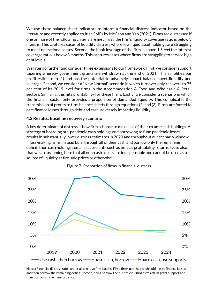We use these balance sheet indicators to inform a financial distress indicator based on the literature and recently applied to Irish SMEs by McCann and Yao (2021). Firms are distressed if one or more of the following criteria are met. First, the firm's liquidity coverage ratio is below 3 months. This captures cases of liquidity distress where low liquid asset holdings are struggling to meet operational losses. Second, the book leverage of the firm is above 1.5 *and* the interest coverage ratio is below 3 months. This captures cases where firms are struggling to service high debt levels.

We later go further and consider three extensions to our framework. First, we consider support tapering whereby government grants are withdrawn at the end of 2021. This simplifies our profit estimate in (1) and has the potential to adversely impact balance sheet liquidity and leverage. Second, we consider a "New Normal" scenario in which turnover only recovers to 75 per cent of its 2019 level for firms in the Accommodation & Food and Wholesale & Retail sectors. Similarly, this hits profitability for these firms. Lastly, we consider a scenario in which the financial sector only provides a proportion of demanded liquidity. This complicates the transmission of profits to firm balance sheets through equations (2) and (3). Firms are forced to part finance losses through debt and cash, adversely impacting liquidity.

## **4.2 Results: Baseline recovery scenario**

A key determinant of distress is how firms choose to make use of their ex ante cash holdings. A strategy of hoarding pre-pandemic cash holdings and borrowing to fund pandemic losses results in substantially lower distress estimates in 2020 and throughout our scenario window. If loss-making firms instead burn through all of their cash and borrow only the remaining deficit, then cash holdings remain at zero until such as time as profitability returns. Note also that we are assuming here that all non-cash assets are indispensable and cannot be used as a source of liquidity at fire-sale prices or otherwise.



#### Figure 7: Proportion of firms in financial distress

Notes: Financial distress rates under alternative firm tactics. First, firms use their cash holdings to finance losses and then borrow the remaining deficit. Second, firms borrow the full deficit. Third, firms claim grant support and then borrow any remaining deficit.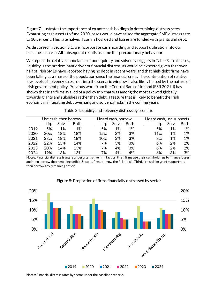Figure 7 illustrates the importance of ex ante cash holdings in determining distress rates. Exhausting cash assets to fund 2020 losses would have raised the aggregate SME distress rate to 30 per cent. This rate halves if cash is hoarded and losses are funded with grants and debt.

As discussed in Section 5.1, we incorporate cash hoarding and support utilisation into our baseline scenario. All subsequent results assume this precautionary behaviour.

We report the relative importance of our liquidity and solvency triggers in Table 3. In all cases, liquidity is the predominant driver of financial distress, as would be expected given that over half of Irish SMEs have reported having no debt in recent years, and that high-debt firms have been falling as a share of the population since the financial crisis. The continuation of relative low levels of solvency stress out into the scenario window is also likely helped by the nature of Irish government policy. Previous work from the Central Bank of Ireland (FSR 2021-I) has shown that Irish firms availed of a policy mix that was among the most skewed globally towards grants and subsidies rather than debt, a feature that is likely to benefit the Irish economy in mitigating debt overhang and solvency risks in the coming years.

|      |      | Use cash, then borrow |             |      | Hoard cash, borrow |             | Hoard cash, use supports |       |      |
|------|------|-----------------------|-------------|------|--------------------|-------------|--------------------------|-------|------|
|      | Lia. | Solv.                 | <b>Both</b> | Lia. | Solv.              | <b>Both</b> | Lia.                     | Solv. | Both |
| 2019 | 5%   | 1%                    | 1%          | 5%   | 1%                 | 1%          | 5%                       | 1%    | 1%   |
| 2020 | 30%  | 18%                   | 18%         | 15%  | 3%                 | 3%          | 11%                      | 1%    | 1%   |
| 2021 | 28%  | 18%                   | 18%         | 10%  | 3%                 | 3%          | 8%                       | 1%    | 1%   |
| 2022 | 22%  | 15%                   | 14%         | 7%   | 3%                 | 3%          | 6%                       | 2%    | 2%   |
| 2023 | 20%  | 14%                   | 13%         | 7%   | 4%                 | 3%          | 6%                       | 2%    | 2%   |
| 2024 | 19%  | 13%                   | 13%         | 7%   | 4%                 | 4%          | 6%                       | 3%    | 3%   |

Table 3: Liquidity and solvency distress by scenario

Notes: Financial distress triggers under alternative firm tactics. First, firms use their cash holdings to finance losses and then borrow the remaining deficit. Second, firms borrow the full deficit. Third, firms claim grant support and then borrow any remaining deficit.



#### Figure 8: Proportion of firms financially distressed by sector

Notes: Financial distress rates by sector under the baseline scenario.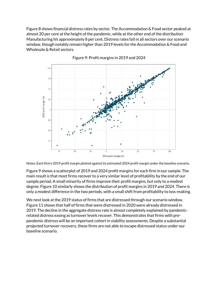Figure 8 shows financial distress rates by sector. The Accommodation & Food sector peaked at almost 20 per cent at the height of the pandemic, while at the other end of the distribution Manufacturing hit approximately 8 per cent. Distress rates fall in all sectors over our scenario window, though notably remain higher than 2019 levels for the Accommodation & Food and Wholesale & Retail sectors.



Figure 9: Profit margins in 2019 and 2024

Notes: Each firm's 2019 profit margin plotted against its estimated 2024 profit margin under the baseline scenario.

Figure 9 shows a scatterplot of 2019 and 2024 profit margins for each firm in our sample. The main result is that most firms recover to a very similar level of profitability by the end of our sample period. A small minority of firms improve their profit margins, but only to a modest degree. Figure 10 similarly shows the distribution of profit margins in 2019 and 2024. There is only a modest difference in the two periods, with a small shift from profitability to loss-making.

We next look at the 2019 status of firms that are distressed through our scenario window. Figure 11 shows that half of firms that were distressed in 2020 were already distressed in 2019. The decline in the aggregate distress rate is almost completely explained by pandemicrelated distress easing as turnover levels recover. This demonstrates that firms with prepandemic distress will be an important cohort in viability assessments. Despite a substantial projected turnover recovery, these firms are not able to escape distressed status under our baseline scenario.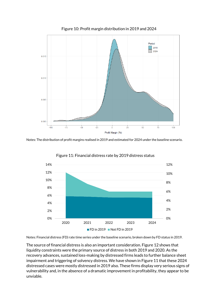

Figure 10: Profit margin distribution in 2019 and 2024

Notes: The distribution of profit margins realised in 2019 and estimated for 2024 under the baseline scenario.



Figure 11: Financial distress rate by 2019 distress status

Notes: Financial distress (FD) rate time series under the baseline scenario, broken down by FD status in 2019.

The source of financial distress is also an important consideration. Figure 12 shows that liquidity constraints were the primary source of distress in both 2019 and 2020. As the recovery advances, sustained loss-making by distressed firms leads to further balance sheet impairment and triggering of solvency distress. We have shown in Figure 11 that these 2024 distressed cases were mostly distressed in 2019 also. These firms display very serious signs of vulnerability and, in the absence of a dramatic improvement in profitability, they appear to be unviable.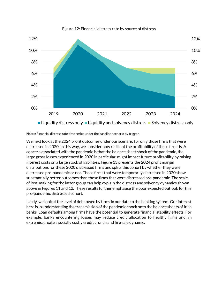

#### Figure 12: Financial distress rate by source of distress

Notes: Financial distress rate time series under the baseline scenario by trigger.

We next look at the 2024 profit outcomes under our scenario for only those firms that were distressed in 2020. In this way, we consider how resilient the profitability of these firms is. A concern associated with the pandemic is that the balance sheet shock of the pandemic, the large gross losses experienced in 2020 in particular, might impact future profitability by raising interest costs on a large stock of liabilities. Figure 13 presents the 2024 profit margin distributions for these 2020 distressed firms and splits this cohort by whether they were distressed pre-pandemic or not. Those firms that were temporarily distressed in 2020 show substantially better outcomes than those firms that were distressed pre-pandemic. The scale of loss-making for the latter group can help explain the distress and solvency dynamics shown above in Figures 11 and 12. These results further emphasise the poor expected outlook for this pre-pandemic distressed cohort.

Lastly, we look at the level of debt owed by firms in our data to the banking system. Our interest here is in understanding the transmission of the pandemic shock onto the balance sheets of Irish banks. Loan defaults among firms have the potential to generate financial stability effects. For example, banks encountering losses may reduce credit allocation to healthy firms and, in extremis, create a socially costly credit crunch and fire sale dynamic.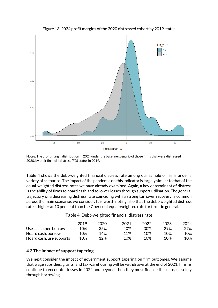

Figure 13: 2024 profit margins of the 2020 distressed cohort by 2019 status

Notes: The profit margin distribution in 2024 under the baseline scenario of those firms that were distressed in 2020, by their financial distress (FD) status in 2019.

Table 4 shows the debt-weighted financial distress rate among our sample of firms under a variety of scenarios. The impact of the pandemic on this indicator is largely similar to that of the equal-weighted distress rates we have already examined. Again, a key determinant of distress is the ability of firms to hoard cash and to lower losses through support utilisation. The general trajectory of a decreasing distress rate coinciding with a strong turnover recovery is common across the main scenarios we consider. It is worth noting also that the debt-weighted distress rate is higher at 10 per cent than the 7 per cent equal-weighted rate for firms in general.

|                          | 2019 | 2020 | 2021 | 2022 | 2023 | 2024 |
|--------------------------|------|------|------|------|------|------|
| Use cash, then borrow    | 10%  | 35%  | 40%  | 30%  | 29%  | 27%  |
| Hoard cash, borrow       | 10%  | 14%  | 11%  | 10%  | 10%  | 10%  |
| Hoard cash, use supports | 10%  | 12%  | 10%  | 10%  | 10%  | 10%  |

Table 4: Debt-weighted financial distress rate

## **4.3 The impact of support tapering**

We next consider the impact of government support tapering on firm outcomes. We assume that wage subsidies, grants, and tax warehousing will be withdrawn at the end of 2021. If firms continue to encounter losses in 2022 and beyond, then they must finance these losses solely through borrowing.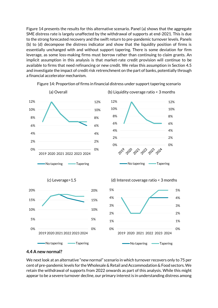Figure 14 presents the results for this alternative scenario. Panel (a) shows that the aggregate SME distress rate is largely unaffected by the withdrawal of supports at end-2021. This is due to the strong forecasted recovery and the swift return to pre-pandemic turnover levels. Panels (b) to (d) decompose the distress indicator and show that the liquidity position of firms is essentially unchanged with and without support tapering. There is some deviation for firm leverage, as some loss-making firms must borrow rather than continuing to claim grants. An implicit assumption in this analysis is that market-rate credit provision will continue to be available to firms that need refinancing or new credit. We relax this assumption in Section 4.5 and investigate the impact of credit risk retrenchment on the part of banks, potentially through a financial accelerator mechanism.



Figure 14: Proportion of firms in financial distress under support tapering scenario

#### **4.4 A new normal?**

We next look at an alternative "new normal" scenario in which turnover recovers only to 75 per cent of pre-pandemic levels for the Wholesale & Retail and Accommodation & Food sectors. We retain the withdrawal of supports from 2022 onwards as part of this analysis. While this might appear to be a severe turnover decline, our primary interest is in understanding distress among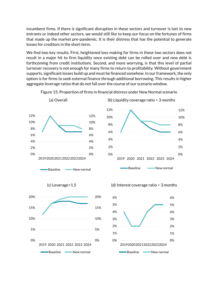incumbent firms. If there is significant disruption in these sectors and turnover is lost to new entrants or indeed other sectors, we would still like to keep our focus on the fortunes of firms that made up the market pre-pandemic. It is their distress that has the potential to generate losses for creditors in the short term.

We find two key results. First, heightened loss-making for firms in these two sectors does not result in a major hit to firm liquidity once existing debt can be rolled over and new debt is forthcoming from credit institutions. Second, and more worrying, is that this level of partial turnover recovery is not enough for many firms to return to profitability. Without government supports, significant losses build up and must be financed somehow. In our framework, the only option is for firms to seek external finance through additional borrowing. This results in higher aggregate leverage ratios that do not fall over the course of our scenario window.



Figure 15: Proportion of firms in financial distress under New Normal scenario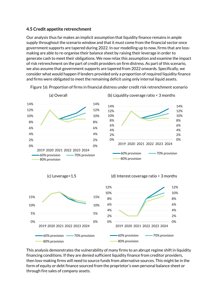## **4.5 Credit appetite retrenchment**

Our analysis thus far makes an implicit assumption that liquidity finance remains in ample supply throughout the scenario window and that it must come from the financial sector once government supports are tapered during 2022. In our modelling up to now, firms that are lossmaking are able to re-organise their balance sheet by raising their leverage in order to generate cash to meet their obligations. We now relax this assumption and examine the impact of risk retrenchment on the part of credit providers on firm distress. As part of this scenario, we also assume that government supports are tapered from 2022 onwards. Specifically, we consider what would happen if lenders provided only a proportion of required liquidity finance and firms were obligated to meet the remaining deficit using only internal liquid assets.



Figure 16: Proportion of firms in financial distress under credit risk retrenchment scenario

This analysis demonstrates the vulnerability of many firms to an abrupt regime shift in liquidity financing conditions. If they are denied sufficient liquidity finance from creditor providers, then loss-making firms will need to source funds from alternative sources. This might be in the form of equity or debt finance sourced from the proprietor's own personal balance sheet or through fire sales of company assets.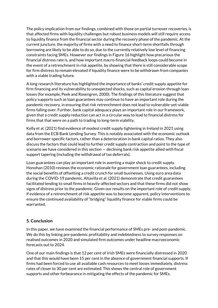The policy implication from our findings, combined with those on partial turnover recoveries, is that affected firms with liquidity challenges but robust business models will still require access to liquidity finance from the financial sector during the recovery phase of the pandemic. At the current juncture, the majority of firms with a need to finance short-term shortfalls through borrowing are likely to be able to do so, due to the currently relatively low level of financing constraints facing SMEs. However our findings in Figure 16 highlight how precarious the financial distress rate is, and how important macro-financial feedback loops could become in the event of a retrenchment in risk appetite, by showing that there is still considerable scope for firm distress to remain elevated if liquidity finance were to be withdrawn from companies with a viable trading future.

A long research literature has highlighted the importance of banks' credit supply appetite for firm financing and its vulnerability to unexpected shocks, such as capital erosion through loan losses (for example, Peek and Rosengren, 2000). The findings of this literature suggest that policy supports such as loan guarantees may continue to have an important role during the pandemic recovery, in ensuring that risk retrenchment does not lead to vulnerable-yet-viable firms falling over. Further, bank capital adequacy plays an important role in our framework, given that a credit supply reduction can act in a circular way to lead to financial distress for firms that that were on a path to trading to long-term viability.

Kelly et al. (2021) find evidence of modest credit supply tightening in Ireland in 2021 using data from the ECB Bank Lending Survey. This is notably associated with the economic outlook and borrower-specific factors, rather than a deterioration in bank capital ratios. They also discuss the factors that could lead to further credit supply contraction and point to the type of scenario we have considered in this section — declining bank risk appetite allied with fiscal support tapering (including the withdrawal of tax deferrals).

Loan guarantees can play an important role in averting a major shock to credit supply. Honohan (2010) reviews the economic rationale for government loan guarantees, including the social benefits of offsetting a credit crunch for small businesses. Using euro area data during the COVID-19 pandemic, Altavilla et al. (2021) demonstrate that credit guarantees facilitated lending to small firms in heavily-affected sectors and that these firms did not show signs of distress prior to the pandemic. Given our results on the important role of credit supply, if evidence of a retrenchment of risk appetite was to become apparent, policy interventions to ensure the continued availability of "bridging" liquidity finance for viable firms could be warranted.

## **5. Conclusion**

In this paper, we have examined the financial performance of SMEs pre- and post-pandemic. We do this by linking pre-pandemic profitability and indebtedness to survey responses on realised outcomes in 2020 and simulated firm outcomes under headline macroeconomic forecasts out to 2024.

One of our main findings is that 12 per cent of Irish SMEs were financially distressed in 2020 and that this would have been 15 per cent in the absence of government financial supports. If firms had been forced to use all available cash resources to meet losses immediately, distress rates of closer to 30 per cent are estimated. This shows the central role of government supports and other forbearance in mitigating the effects of the pandemic for SMEs.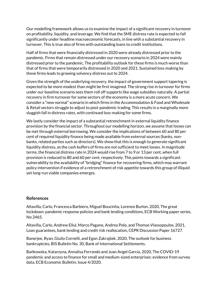Our modelling framework allows us to examine the impact of a significant recovery in turnover on profitability, liquidity, and leverage. We find that the SME distress rate is expected to fall significantly under headline macroeconomic forecasts, in line with a substantial recovery in turnover. This is true also of firms with outstanding loans to credit institutions.

Half of firms that were financially distressed in 2020 were already distressed prior to the pandemic. Firms that remain distressed under our recovery scenario in 2024 were mainly distressed prior to the pandemic. The profitability outlook for these firms is much worse than that of firms that were temporarily distressed in 2020 and 2021. Sustained loss-making by these firms leads to growing solvency distress out to 2024.

Given the strength of the underlying recovery, the impact of government support tapering is expected to be more modest than might be first imagined. The strong rise in turnover for firms under our baseline scenario sees them roll off supports like wage subsidies naturally. A partial recovery in firm turnover for some sectors of the economy is a more acute concern. We consider a "new normal" scenario in which firms in the Accommodation & Food and Wholesale & Retail sectors struggle to adjust to post-pandemic trading. This results in a marginally more sluggish fall in distress rates, with continued loss-making for some firms.

We lastly consider the impact of a substantial retrenchment in external liquidity finance provision by the financial sector. Throughout our modelling horizon, we assume that losses can be met through external borrowing. We consider the implications of between 60 and 80 per cent of required liquidity finance being made available from external sources (banks, nonbanks, related parties such as directors). We show that this is enough to generate significant liquidity distress, as the cash buffers of firms are not sufficient to meet losses. In magnitude terms, the financial distress rate in 2024 would rise from 7 to 9 or 13 per cent, when full provision is reduced to 80 and 60 per cent, respectively. This points towards a significant vulnerability to the availability of "bridging" finance for recovering firms, which may warrant policy intervention if evidence of a retrenchment of risk appetite towards this group of illiquid yet long-run viable companies emerges.

#### **References**

Altavilla, Carlo, Francesca Barbiero, Miguel Boucinha, Lorenzo Burlon, 2020, The great lockdown: pandemic response policies and bank lending conditions, ECB Working paper series, No 2465.

Altavilla, Carlo, Andrew Ellul, Marco Pagano, Andrea Polo, and Thomas Vlassopoulos, 2021, Loan guarantees, bank lending and credit risk reallocation, CEPR Discussion Paper 16727.

Banerjee, Ryan, Giulio Cornelli, and Egon Zakrajšek, 2020, The outlook for business bankruptcies, BIS Bulletin No. 30, Bank of International Settlements.

Bańkowska, Katarzyna, Annalisa Ferrando and Juan Angel García, 2020, The COVID-19 pandemic and access to finance for small and medium-sized enterprises: evidence from survey data, ECB Economic Bulletin, Issue 4/2020.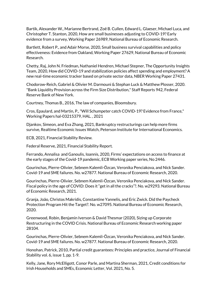Bartik, Alexander W., Marianne Bertrand, Zoë B. Cullen, Edward L. Glaeser, Michael Luca, and Christopher T. Stanton, 2020, How are small businesses adjusting to COVID-19? Early evidence from a survey, Working Paper 26989, National Bureau of Economic Research.

Bartlett, Robert P., and Adair Morse, 2020, Small business survival capabilities and policy effectiveness: Evidence from Oakland, Working Paper 27629, National Bureau of Economic Research.

Chetty, Raj, John N. Friedman, Nathaniel Hendren, Michael Stepner, The Opportunity Insights Team, 2020, How did COVID-19 and stabilization policies affect spending and employment? A new real-time economic tracker based on private sector data, NBER Working Paper 27431.

Chodorow-Reich, Gabriel & Olivier M. Darmouni & Stephan Luck & Matthew Plosser, 2020. "Bank Liquidity Provision across the Firm Size Distribution," Staff Reports 942, Federal Reserve Bank of New York.

Courtney, Thomas B., 2016, The law of companies, Bloomsbury.

Cros, Epaulard, and Martin, P., "Will Schumpeter catch COVID-19? Evidence from France," Working Papers hal-03215379, HAL. , 2021

Djankov, Simeon, and Eva Zhang, 2021, Bankruptcy restructurings can help more firms survive, Realtime Economic Issues Watch, Peterson Institute for International Economics.

ECB, 2021, Financial Stability Review.

Federal Reserve, 2021, Financial Stability Report.

Ferrando, Annalisa and Ganoulis, Ioannis, 2020, Firms' expectations on access to finance at the early stages of the Covid-19 pandemic, ECB Working paper series, No 2446.

Gourinchas, Pierre-Olivier, Sebnem Kalemli-Özcan, Veronika Penciakova, and Nick Sander. Covid-19 and SME failures. No. w27877. National Bureau of Economic Research, 2020.

Gourinchas, Pierre-Olivier, Sebnem Kalemli-Özcan, Veronika Penciakova, and Nick Sander. Fiscal policy in the age of COVID: Does it "get in all the cracks"?. No. w29293. National Bureau of Economic Research, 2021.

Granja, João, Christos Makridis, Constantine Yannelis, and Eric Zwick. Did the Paycheck Protection Program Hit the Target?. No. w27095. National Bureau of Economic Research, 2020.

Greenwood, Robin, [Benjamin Iverson](https://www.nber.org/people/benjamin_iverson) & [David Thesmar](https://www.nber.org/people/david_thesmar) (2020), Sizing up Corporate Restructuring in the COVID Crisis. National Bureau of Economic Research working paper 28104.

Gourinchas, Pierre-Olivier, Sebnem Kalemli-Özcan, Veronika Penciakova, and Nick Sander. Covid-19 and SME failures. No. w27877. National Bureau of Economic Research, 2020.

Honohan, Patrick, 2010, Partial credit guarantees: Principles and practice, Journal of Financial Stability vol. 6, issue 1, pp. 1-9.

Kelly, Jane, Rory McElligott, Conor Parle, and Martina Sherman, 2021, Credit conditions for Irish Households and SMEs, Economic Letter, Vol. 2021, No. 5.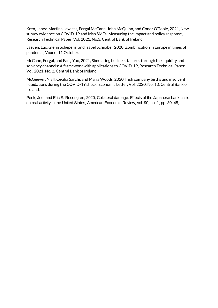Kren, Janez, Martina Lawless, Fergal McCann, John McQuinn, and Conor O'Toole, 2021, New survey evidence on COVID-19 and Irish SMEs: Measuring the impact and policy response, Research Technical Paper, Vol. 2021, No.3, Central Bank of Ireland.

Laeven, Luc, Glenn Schepens, and Isabel Schnabel, 2020, Zombification in Europe in times of pandemic, Voxeu, 11 October.

McCann, Fergal, and Fang Yao, 2021, Simulating business failures through the liquidity and solvency channels: A framework with applications to COVID-19, Research Technical Paper, Vol. 2021, No. 2, Central Bank of Ireland.

McGeever, Niall, Cecilia Sarchi, and Maria Woods, 2020, Irish company births and insolvent liquidations during the COVID-19 shock, Economic Letter, Vol. 2020, No. 13, Central Bank of Ireland.

Peek, Joe, and Eric S. Rosengren, 2020, Collateral damage: Effects of the Japanese bank crisis on real activity in the United States, American Economic Review, vol. 90, no. 1, pp. 30–45,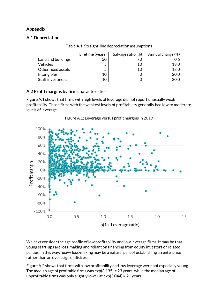## **Appendix**

## **A.1 Depreciation**

|                    | Lifetime (years) | Salvage ratio (%) | Annual charge (%) |
|--------------------|------------------|-------------------|-------------------|
| Land and buildings | 50               |                   |                   |
| <b>Vehicles</b>    |                  | 10                | 18.0              |
| Other fixed assets |                  | 10                | 18.0              |
| Intangibles        | 10               |                   |                   |
| Staff investment   | 10               |                   |                   |

Table A.1: Straight-line depreciation assumptions

## **A.2 Profit margins by firm characteristics**

Figure A.1 shows that firms with high levels of leverage did not report unusually weak profitability. Those firms with the weakest levels of profitability generally had low to moderate levels of leverage.



Figure A.1: Leverage versus profit margins in 2019

We next consider the age profile of low profitability and low leverage firms. It may be that young start-ups are loss-making and reliant on financing from equity investors or related parties. In this way, heavy loss-making may be a natural part of establishing an enterprise rather than an overt sign of distress.

Figure A.2 shows that firms with low profitability and low leverage were not especially young. The median age of profitable firms was exp(3.135) = 23 years, while the median age of unprofitable firms was only slightly lower at exp(3.044) = 21 years.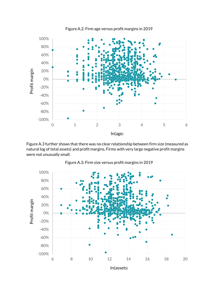

Figure A.3 further shows that there was no clear relationship between firm size (measured as natural log of total assets) and profit margins. Firms with very large negative profit margins were not unusually small.



Figure A.3: Firm size versus profit margins in 2019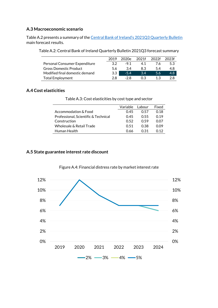## **A.3 Macroeconomic scenario**

Table A.2 presents a summary of the [Central Bank of Ireland's 2021Q3 Quarterly Bulletin](https://www.centralbank.ie/publication/quarterly-bulletins/quarterly-bulletin-q3-2021) main forecast results.

| Table A.2: Central Bank of Ireland Quarterly Bulletin 2021Q3 forecast summary |  |
|-------------------------------------------------------------------------------|--|
|-------------------------------------------------------------------------------|--|

|                                | 2019 | 2020e  | 2021f | 2022f | 2023f            |
|--------------------------------|------|--------|-------|-------|------------------|
| Personal Consumer Expenditure  | 32   | $-9.1$ | 41    | 76    | 5.3              |
| <b>Gross Domestic Product</b>  | 56   | 3.4    | 83    | 54    | 4.8              |
| Modified final domestic demand | 3.3  | $-5.4$ | 3.4   | 5.6   | 4.8 <sup>°</sup> |
| <b>Total Employment</b>        | つR   | -2 R   | 03    |       | 2 R              |

## **A.4 Cost elasticities**

|                                      | Variable | l abour     | Fixed |
|--------------------------------------|----------|-------------|-------|
| Accommodation & Food                 | 045      | <u>በ 57</u> | 0.18  |
| Professional, Scientific & Technical | 0.45     | O 55        | በ 19  |
| Construction                         | O 52     | O 59        | 0.OZ  |
| Wholesale & Retail Trade             | O 51     | 0.38        | 0.O9  |
| Human Health                         | 0 66     | በ 31        | በ 12  |
|                                      |          |             |       |

Table A.3: Cost elasticities by cost type and sector

## **A.5 State guarantee interest rate discount**



#### Figure A.4: Financial distress rate by market interest rate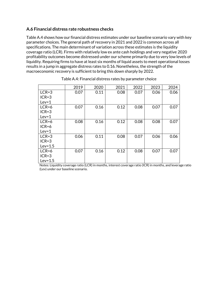## **A.6 Financial distress rate robustness checks**

Table A.4 shows how our financial distress estimates under our baseline scenario vary with key parameter choices. The general path of recovery in 2021 and 2022 is common across all specifications. The main determinant of variation across these estimates is the liquidity coverage ratio (LCR). Firms with relatively low ex ante cash holdings and very negative 2020 profitability outcomes become distressed under our scheme primarily due to very low levels of liquidity. Requiring firms to have at least six months of liquid assets to meet operational losses results in a jump in aggregate distress rates to 0.16. Nonetheless, the strength of the macroeconomic recovery is sufficient to bring this down sharply by 2022.

|           | 2019 | 2020 | 2021 | 2022 | 2023 | 2024 |
|-----------|------|------|------|------|------|------|
| $LCR = 3$ | 0.07 | 0.11 | 0.08 | 0.07 | 0.06 | 0.06 |
| $ICR = 3$ |      |      |      |      |      |      |
| $Lev=1$   |      |      |      |      |      |      |
| $LCR = 6$ | 0.07 | 0.16 | 0.12 | 0.08 | 0.07 | 0.07 |
| $ICR = 3$ |      |      |      |      |      |      |
| $Lev=1$   |      |      |      |      |      |      |
| $LCR = 6$ | 0.08 | 0.16 | 0.12 | 0.08 | 0.08 | 0.07 |
| $ICR=6$   |      |      |      |      |      |      |
| $Lev=1$   |      |      |      |      |      |      |
| $LCR = 3$ | 0.06 | 0.11 | 0.08 | 0.07 | 0.06 | 0.06 |
| $ICR = 3$ |      |      |      |      |      |      |
| $Lev=1.5$ |      |      |      |      |      |      |
| $LCR = 6$ | 0.07 | 0.16 | 0.12 | 0.08 | 0.07 | 0.07 |
| $ICR = 3$ |      |      |      |      |      |      |
| $Lev=1.5$ |      |      |      |      |      |      |

| Table A.4: Financial distress rates by parameter choice |
|---------------------------------------------------------|
|---------------------------------------------------------|

Notes: Liquidity coverage ratio (LCR) in months, interest coverage ratio (ICR) in months, and leverage ratio (Lev) under our baseline scenario.